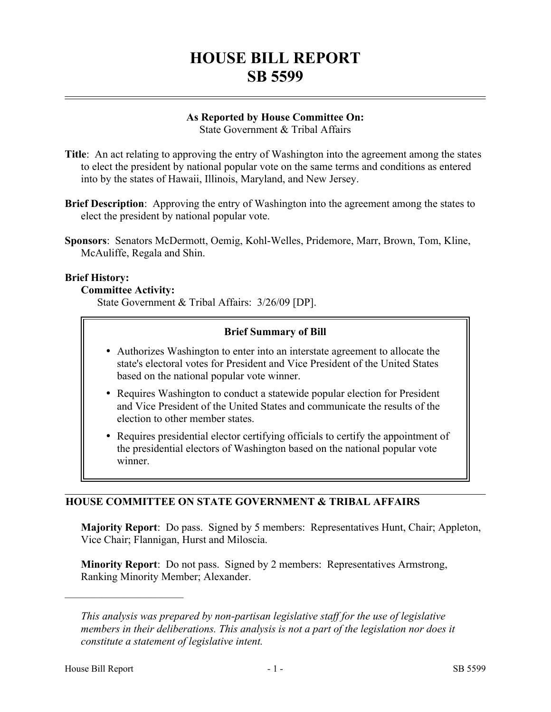# **HOUSE BILL REPORT SB 5599**

## **As Reported by House Committee On:**

State Government & Tribal Affairs

- **Title**: An act relating to approving the entry of Washington into the agreement among the states to elect the president by national popular vote on the same terms and conditions as entered into by the states of Hawaii, Illinois, Maryland, and New Jersey.
- **Brief Description**: Approving the entry of Washington into the agreement among the states to elect the president by national popular vote.
- **Sponsors**: Senators McDermott, Oemig, Kohl-Welles, Pridemore, Marr, Brown, Tom, Kline, McAuliffe, Regala and Shin.

## **Brief History:**

## **Committee Activity:**

State Government & Tribal Affairs: 3/26/09 [DP].

## **Brief Summary of Bill**

- � Authorizes Washington to enter into an interstate agreement to allocate the state's electoral votes for President and Vice President of the United States based on the national popular vote winner.
- � Requires Washington to conduct a statewide popular election for President and Vice President of the United States and communicate the results of the election to other member states.
- � Requires presidential elector certifying officials to certify the appointment of the presidential electors of Washington based on the national popular vote winner.

## **HOUSE COMMITTEE ON STATE GOVERNMENT & TRIBAL AFFAIRS**

**Majority Report**: Do pass. Signed by 5 members: Representatives Hunt, Chair; Appleton, Vice Chair; Flannigan, Hurst and Miloscia.

**Minority Report**: Do not pass. Signed by 2 members: Representatives Armstrong, Ranking Minority Member; Alexander.

––––––––––––––––––––––

*This analysis was prepared by non-partisan legislative staff for the use of legislative members in their deliberations. This analysis is not a part of the legislation nor does it constitute a statement of legislative intent.*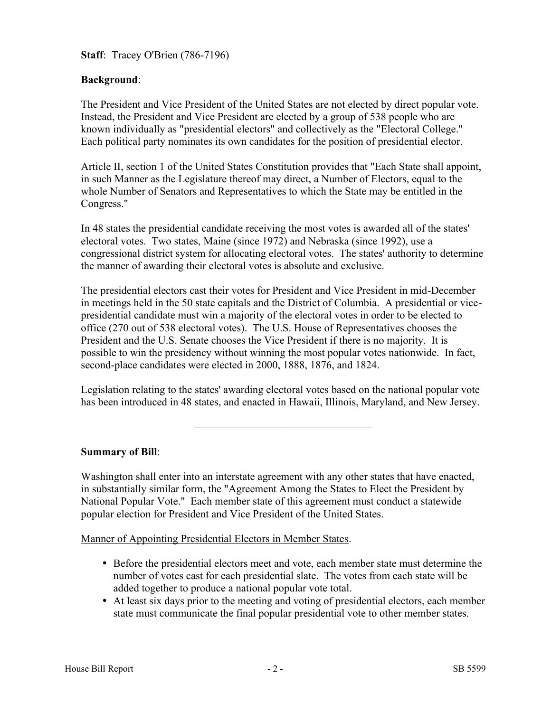**Staff**: Tracey O'Brien (786-7196)

## **Background**:

The President and Vice President of the United States are not elected by direct popular vote. Instead, the President and Vice President are elected by a group of 538 people who are known individually as "presidential electors" and collectively as the "Electoral College." Each political party nominates its own candidates for the position of presidential elector.

Article II, section 1 of the United States Constitution provides that "Each State shall appoint, in such Manner as the Legislature thereof may direct, a Number of Electors, equal to the whole Number of Senators and Representatives to which the State may be entitled in the Congress."

In 48 states the presidential candidate receiving the most votes is awarded all of the states' electoral votes. Two states, Maine (since 1972) and Nebraska (since 1992), use a congressional district system for allocating electoral votes. The states' authority to determine the manner of awarding their electoral votes is absolute and exclusive.

The presidential electors cast their votes for President and Vice President in mid-December in meetings held in the 50 state capitals and the District of Columbia. A presidential or vicepresidential candidate must win a majority of the electoral votes in order to be elected to office (270 out of 538 electoral votes). The U.S. House of Representatives chooses the President and the U.S. Senate chooses the Vice President if there is no majority. It is possible to win the presidency without winning the most popular votes nationwide. In fact, second-place candidates were elected in 2000, 1888, 1876, and 1824.

Legislation relating to the states' awarding electoral votes based on the national popular vote has been introduced in 48 states, and enacted in Hawaii, Illinois, Maryland, and New Jersey.

–––––––––––––––––––––––––––––––––

## **Summary of Bill**:

Washington shall enter into an interstate agreement with any other states that have enacted, in substantially similar form, the "Agreement Among the States to Elect the President by National Popular Vote." Each member state of this agreement must conduct a statewide popular election for President and Vice President of the United States.

Manner of Appointing Presidential Electors in Member States.

- � Before the presidential electors meet and vote, each member state must determine the number of votes cast for each presidential slate. The votes from each state will be added together to produce a national popular vote total.
- � At least six days prior to the meeting and voting of presidential electors, each member state must communicate the final popular presidential vote to other member states.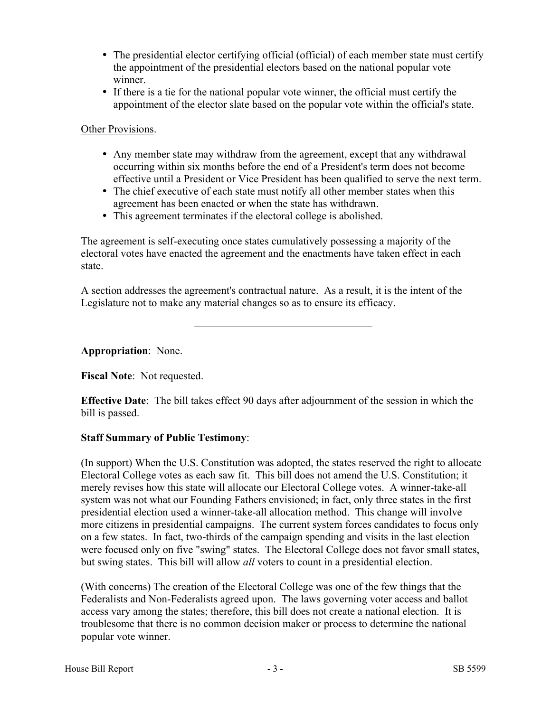- The presidential elector certifying official (official) of each member state must certify the appointment of the presidential electors based on the national popular vote winner.
- � If there is a tie for the national popular vote winner, the official must certify the appointment of the elector slate based on the popular vote within the official's state.

## Other Provisions.

- Any member state may withdraw from the agreement, except that any withdrawal occurring within six months before the end of a President's term does not become effective until a President or Vice President has been qualified to serve the next term.
- The chief executive of each state must notify all other member states when this agreement has been enacted or when the state has withdrawn.
- � This agreement terminates if the electoral college is abolished.

The agreement is self-executing once states cumulatively possessing a majority of the electoral votes have enacted the agreement and the enactments have taken effect in each state.

A section addresses the agreement's contractual nature. As a result, it is the intent of the Legislature not to make any material changes so as to ensure its efficacy.

–––––––––––––––––––––––––––––––––

**Appropriation**: None.

**Fiscal Note**: Not requested.

**Effective Date**: The bill takes effect 90 days after adjournment of the session in which the bill is passed.

## **Staff Summary of Public Testimony**:

(In support) When the U.S. Constitution was adopted, the states reserved the right to allocate Electoral College votes as each saw fit. This bill does not amend the U.S. Constitution; it merely revises how this state will allocate our Electoral College votes. A winner-take-all system was not what our Founding Fathers envisioned; in fact, only three states in the first presidential election used a winner-take-all allocation method. This change will involve more citizens in presidential campaigns. The current system forces candidates to focus only on a few states. In fact, two-thirds of the campaign spending and visits in the last election were focused only on five "swing" states. The Electoral College does not favor small states, but swing states. This bill will allow *all* voters to count in a presidential election.

(With concerns) The creation of the Electoral College was one of the few things that the Federalists and Non-Federalists agreed upon. The laws governing voter access and ballot access vary among the states; therefore, this bill does not create a national election. It is troublesome that there is no common decision maker or process to determine the national popular vote winner.